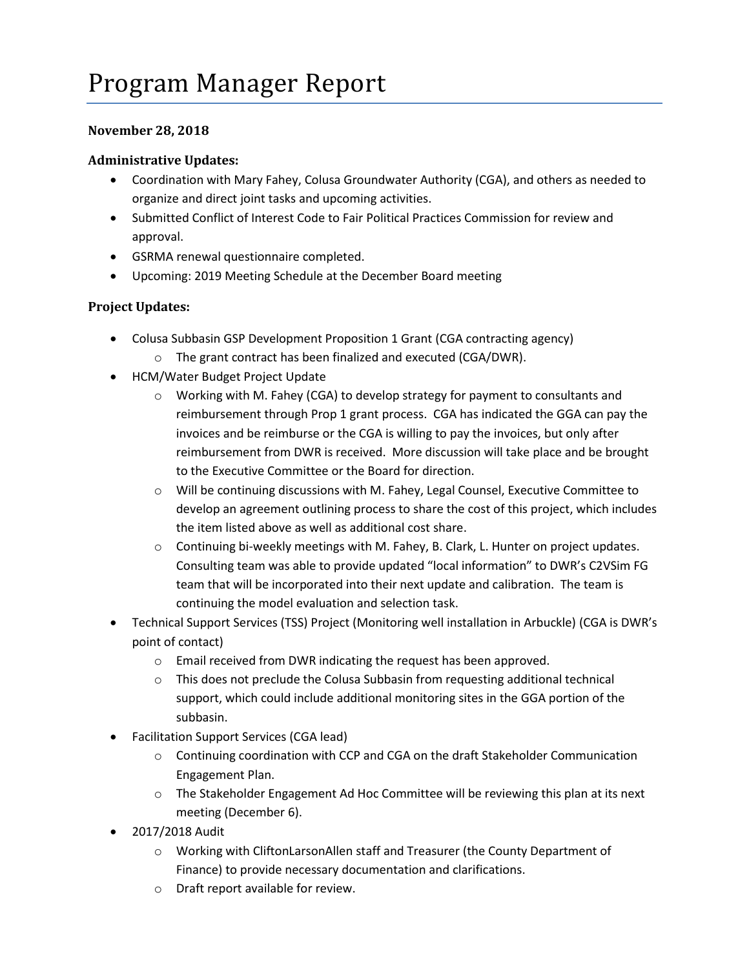## **November 28, 2018**

## **Administrative Updates:**

- Coordination with Mary Fahey, Colusa Groundwater Authority (CGA), and others as needed to organize and direct joint tasks and upcoming activities.
- Submitted Conflict of Interest Code to Fair Political Practices Commission for review and approval.
- GSRMA renewal questionnaire completed.
- Upcoming: 2019 Meeting Schedule at the December Board meeting

## **Project Updates:**

- Colusa Subbasin GSP Development Proposition 1 Grant (CGA contracting agency)
	- o The grant contract has been finalized and executed (CGA/DWR).
- HCM/Water Budget Project Update
	- $\circ$  Working with M. Fahey (CGA) to develop strategy for payment to consultants and reimbursement through Prop 1 grant process. CGA has indicated the GGA can pay the invoices and be reimburse or the CGA is willing to pay the invoices, but only after reimbursement from DWR is received. More discussion will take place and be brought to the Executive Committee or the Board for direction.
	- $\circ$  Will be continuing discussions with M. Fahey, Legal Counsel, Executive Committee to develop an agreement outlining process to share the cost of this project, which includes the item listed above as well as additional cost share.
	- o Continuing bi-weekly meetings with M. Fahey, B. Clark, L. Hunter on project updates. Consulting team was able to provide updated "local information" to DWR's C2VSim FG team that will be incorporated into their next update and calibration. The team is continuing the model evaluation and selection task.
- Technical Support Services (TSS) Project (Monitoring well installation in Arbuckle) (CGA is DWR's point of contact)
	- o Email received from DWR indicating the request has been approved.
	- $\circ$  This does not preclude the Colusa Subbasin from requesting additional technical support, which could include additional monitoring sites in the GGA portion of the subbasin.
- Facilitation Support Services (CGA lead)
	- o Continuing coordination with CCP and CGA on the draft Stakeholder Communication Engagement Plan.
	- $\circ$  The Stakeholder Engagement Ad Hoc Committee will be reviewing this plan at its next meeting (December 6).
- 2017/2018 Audit
	- o Working with CliftonLarsonAllen staff and Treasurer (the County Department of Finance) to provide necessary documentation and clarifications.
	- o Draft report available for review.